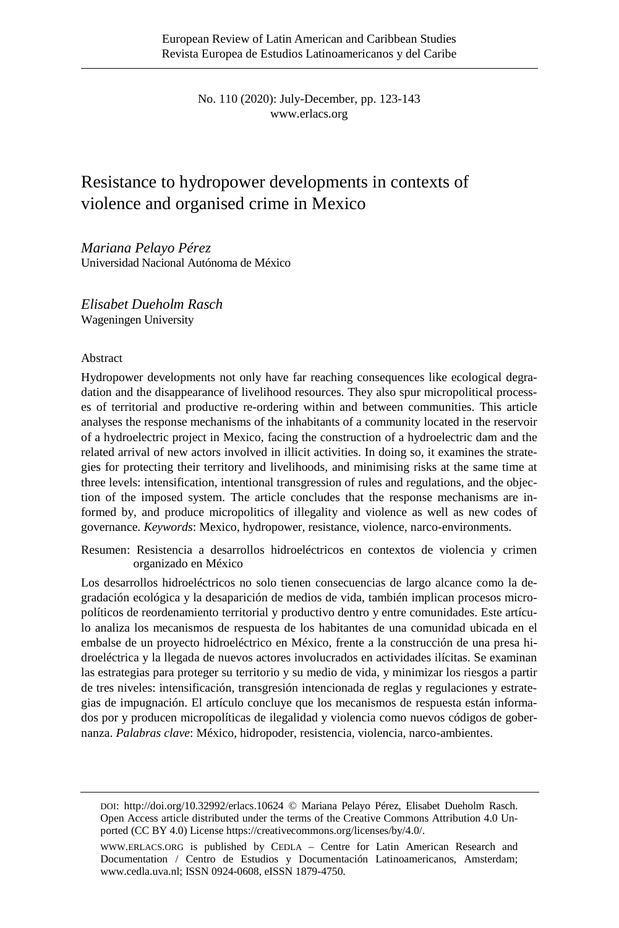No. 110 (2020): July-December, pp. 123-143 [www.erlacs.org](http://www.erlacs.org/)

# Resistance to hydropower developments in contexts of violence and organised crime in Mexico

*Mariana Pelayo Pérez* Universidad Nacional Autónoma de México

*Elisabet Dueholm Rasch* Wageningen University

#### Abstract

Hydropower developments not only have far reaching consequences like ecological degradation and the disappearance of livelihood resources. They also spur micropolitical processes of territorial and productive re-ordering within and between communities. This article analyses the response mechanisms of the inhabitants of a community located in the reservoir of a hydroelectric project in Mexico, facing the construction of a hydroelectric dam and the related arrival of new actors involved in illicit activities. In doing so, it examines the strategies for protecting their territory and livelihoods, and minimising risks at the same time at three levels: intensification, intentional transgression of rules and regulations, and the objection of the imposed system. The article concludes that the response mechanisms are informed by, and produce micropolitics of illegality and violence as well as new codes of governance. *Keywords*: Mexico, hydropower, resistance, violence, narco-environments.

Resumen: Resistencia a desarrollos hidroeléctricos en contextos de violencia y crimen organizado en México

Los desarrollos hidroeléctricos no solo tienen consecuencias de largo alcance como la degradación ecológica y la desaparición de medios de vida, también implican procesos micropolíticos de reordenamiento territorial y productivo dentro y entre comunidades. Este artículo analiza los mecanismos de respuesta de los habitantes de una comunidad ubicada en el embalse de un proyecto hidroeléctrico en México, frente a la construcción de una presa hidroeléctrica y la llegada de nuevos actores involucrados en actividades ilícitas. Se examinan las estrategias para proteger su territorio y su medio de vida, y minimizar los riesgos a partir de tres niveles: intensificación, transgresión intencionada de reglas y regulaciones y estrategias de impugnación. El artículo concluye que los mecanismos de respuesta están informados por y producen micropolíticas de ilegalidad y violencia como nuevos códigos de gobernanza. *Palabras clave*: México, hidropoder, resistencia, violencia, narco-ambientes.

DOI:<http://doi.org/10.32992/erlacs.10624> © Mariana Pelayo Pérez, Elisabet Dueholm Rasch. Open Access article distributed under the terms of the Creative Commons Attribution 4.0 Unported (CC BY 4.0) Licens[e https://creativecommons.org/licenses/by/4.0/.](https://creativecommons.org/licenses/by/4.0/) 

[WWW.ERLACS.ORG](http://www.erlacs.org/) is published by CEDLA – Centre for Latin American Research and Documentation / Centro de Estudios y Documentación Latinoamericanos, Amsterdam; [www.cedla.uva.nl;](http://www.cedla.uva.nl/) ISSN 0924-0608, eISSN 1879-4750.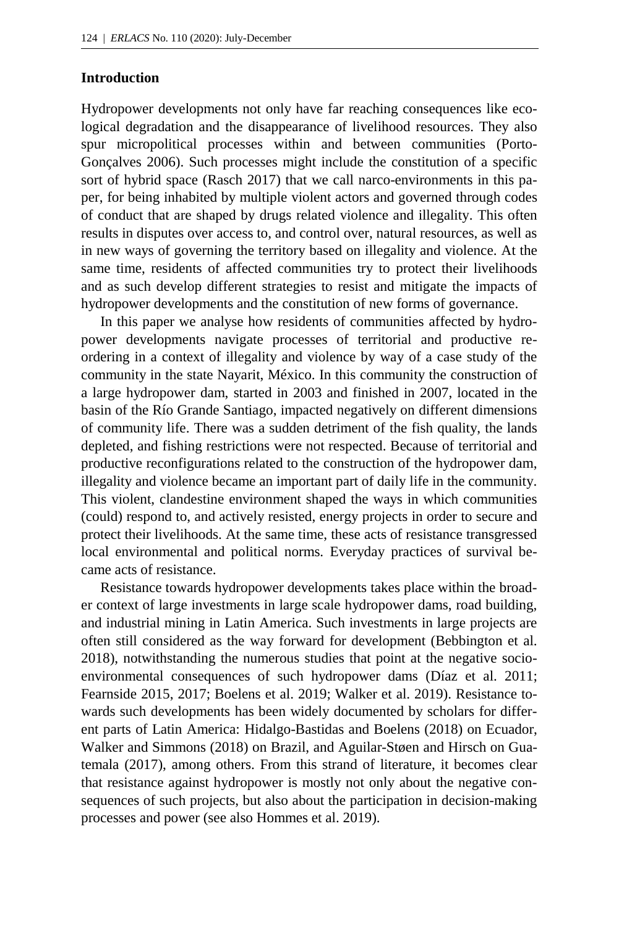#### **Introduction**

Hydropower developments not only have far reaching consequences like ecological degradation and the disappearance of livelihood resources. They also spur micropolitical processes within and between communities (Porto-Gonçalves 2006). Such processes might include the constitution of a specific sort of hybrid space (Rasch 2017) that we call narco-environments in this paper, for being inhabited by multiple violent actors and governed through codes of conduct that are shaped by drugs related violence and illegality. This often results in disputes over access to, and control over, natural resources, as well as in new ways of governing the territory based on illegality and violence. At the same time, residents of affected communities try to protect their livelihoods and as such develop different strategies to resist and mitigate the impacts of hydropower developments and the constitution of new forms of governance.

In this paper we analyse how residents of communities affected by hydropower developments navigate processes of territorial and productive reordering in a context of illegality and violence by way of a case study of the community in the state Nayarit, México. In this community the construction of a large hydropower dam, started in 2003 and finished in 2007, located in the basin of the Río Grande Santiago, impacted negatively on different dimensions of community life. There was a sudden detriment of the fish quality, the lands depleted, and fishing restrictions were not respected. Because of territorial and productive reconfigurations related to the construction of the hydropower dam, illegality and violence became an important part of daily life in the community. This violent, clandestine environment shaped the ways in which communities (could) respond to, and actively resisted, energy projects in order to secure and protect their livelihoods. At the same time, these acts of resistance transgressed local environmental and political norms. Everyday practices of survival became acts of resistance.

Resistance towards hydropower developments takes place within the broader context of large investments in large scale hydropower dams, road building, and industrial mining in Latin America. Such investments in large projects are often still considered as the way forward for development (Bebbington et al. 2018), notwithstanding the numerous studies that point at the negative socioenvironmental consequences of such hydropower dams (Díaz et al. 2011; Fearnside 2015, 2017; Boelens et al. 2019; Walker et al. 2019). Resistance towards such developments has been widely documented by scholars for different parts of Latin America: Hidalgo-Bastidas and Boelens (2018) on Ecuador, Walker and Simmons (2018) on Brazil, and Aguilar-Støen and Hirsch on Guatemala (2017), among others. From this strand of literature, it becomes clear that resistance against hydropower is mostly not only about the negative consequences of such projects, but also about the participation in decision-making processes and power (see also Hommes et al. 2019).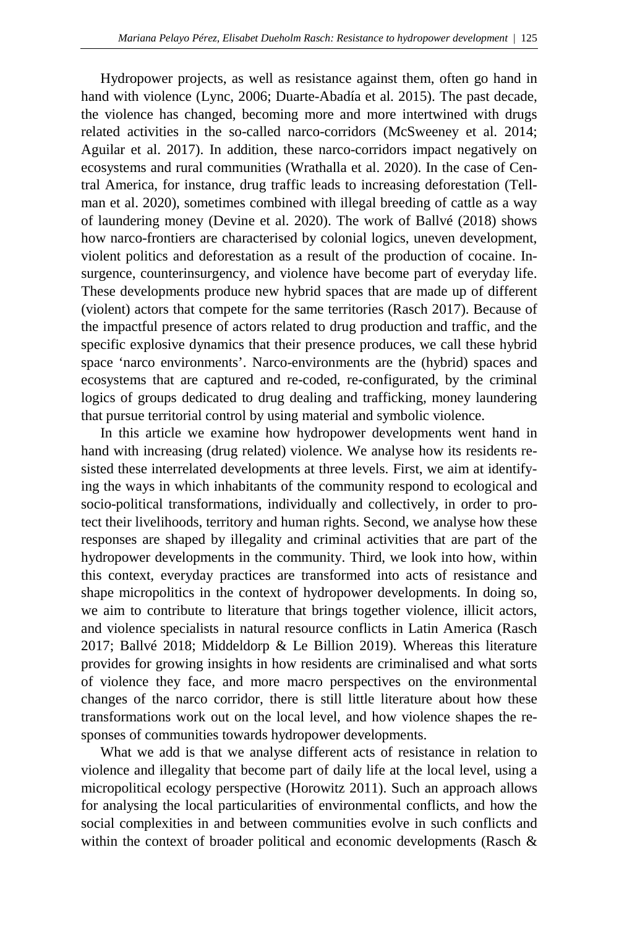Hydropower projects, as well as resistance against them, often go hand in hand with violence (Lync, 2006; Duarte-Abadía et al. 2015). The past decade, the violence has changed, becoming more and more intertwined with drugs related activities in the so-called narco-corridors (McSweeney et al. 2014; Aguilar et al. 2017). In addition, these narco-corridors impact negatively on ecosystems and rural communities (Wrathalla et al. 2020). In the case of Central America, for instance, drug traffic leads to increasing deforestation (Tellman et al. 2020), sometimes combined with illegal breeding of cattle as a way of laundering money (Devine et al. 2020). The work of Ballvé (2018) shows how narco-frontiers are characterised by colonial logics, uneven development, violent politics and deforestation as a result of the production of cocaine. Insurgence, counterinsurgency, and violence have become part of everyday life. These developments produce new hybrid spaces that are made up of different (violent) actors that compete for the same territories (Rasch 2017). Because of the impactful presence of actors related to drug production and traffic, and the specific explosive dynamics that their presence produces, we call these hybrid space 'narco environments'. Narco-environments are the (hybrid) spaces and ecosystems that are captured and re-coded, re-configurated, by the criminal logics of groups dedicated to drug dealing and trafficking, money laundering that pursue territorial control by using material and symbolic violence.

In this article we examine how hydropower developments went hand in hand with increasing (drug related) violence. We analyse how its residents resisted these interrelated developments at three levels. First, we aim at identifying the ways in which inhabitants of the community respond to ecological and socio-political transformations, individually and collectively, in order to protect their livelihoods, territory and human rights. Second, we analyse how these responses are shaped by illegality and criminal activities that are part of the hydropower developments in the community. Third, we look into how, within this context, everyday practices are transformed into acts of resistance and shape micropolitics in the context of hydropower developments. In doing so, we aim to contribute to literature that brings together violence, illicit actors, and violence specialists in natural resource conflicts in Latin America (Rasch 2017; Ballvé 2018; Middeldorp & Le Billion 2019). Whereas this literature provides for growing insights in how residents are criminalised and what sorts of violence they face, and more macro perspectives on the environmental changes of the narco corridor, there is still little literature about how these transformations work out on the local level, and how violence shapes the responses of communities towards hydropower developments.

What we add is that we analyse different acts of resistance in relation to violence and illegality that become part of daily life at the local level, using a micropolitical ecology perspective (Horowitz 2011). Such an approach allows for analysing the local particularities of environmental conflicts, and how the social complexities in and between communities evolve in such conflicts and within the context of broader political and economic developments (Rasch &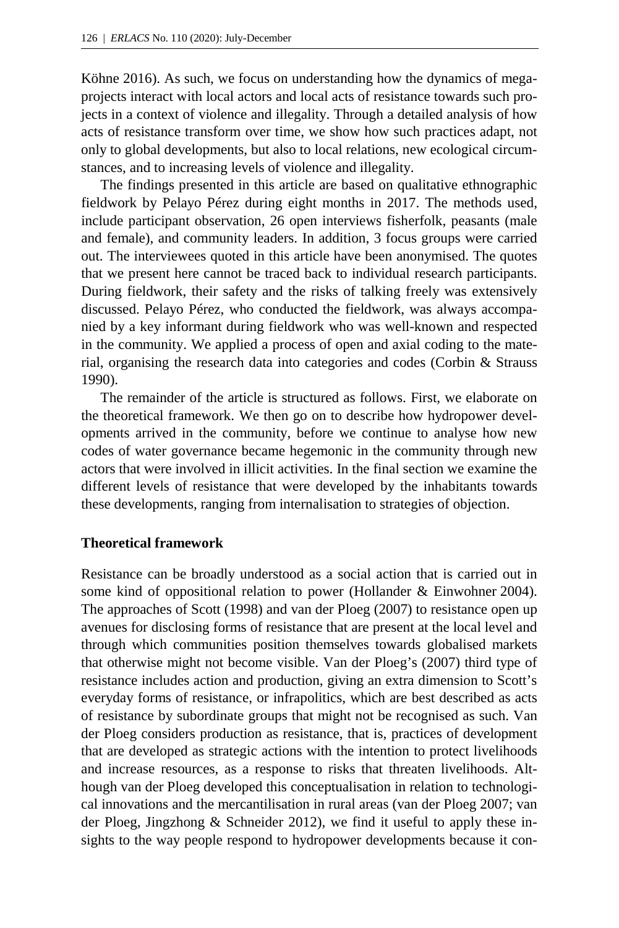Köhne 2016). As such, we focus on understanding how the dynamics of megaprojects interact with local actors and local acts of resistance towards such projects in a context of violence and illegality. Through a detailed analysis of how acts of resistance transform over time, we show how such practices adapt, not only to global developments, but also to local relations, new ecological circumstances, and to increasing levels of violence and illegality.

The findings presented in this article are based on qualitative ethnographic fieldwork by Pelayo Pérez during eight months in 2017. The methods used, include participant observation, 26 open interviews fisherfolk, peasants (male and female), and community leaders. In addition, 3 focus groups were carried out. The interviewees quoted in this article have been anonymised. The quotes that we present here cannot be traced back to individual research participants. During fieldwork, their safety and the risks of talking freely was extensively discussed. Pelayo Pérez, who conducted the fieldwork, was always accompanied by a key informant during fieldwork who was well-known and respected in the community. We applied a process of open and axial coding to the material, organising the research data into categories and codes (Corbin & Strauss 1990).

The remainder of the article is structured as follows. First, we elaborate on the theoretical framework. We then go on to describe how hydropower developments arrived in the community, before we continue to analyse how new codes of water governance became hegemonic in the community through new actors that were involved in illicit activities. In the final section we examine the different levels of resistance that were developed by the inhabitants towards these developments, ranging from internalisation to strategies of objection.

#### **Theoretical framework**

Resistance can be broadly understood as a social action that is carried out in some kind of oppositional relation to power (Hollander & Einwohner [2004\)](https://www.tandfonline.com/doi/full/10.1080/2158379X.2015.1010803?casa_token=DOVCCxIiYv0AAAAA:LiNf2fYEh8qGtzb2FYe4_L4IZ_Zs4APCnxdjo89LeZvzEC4PWxiL_MX10g6XhgwDojNGkblsKjsi). The approaches of Scott (1998) and van der Ploeg (2007) to resistance open up avenues for disclosing forms of resistance that are present at the local level and through which communities position themselves towards globalised markets that otherwise might not become visible. Van der Ploeg's (2007) third type of resistance includes action and production, giving an extra dimension to Scott's everyday forms of resistance, or infrapolitics, which are best described as acts of resistance by subordinate groups that might not be recognised as such. Van der Ploeg considers production as resistance, that is, practices of development that are developed as strategic actions with the intention to protect livelihoods and increase resources, as a response to risks that threaten livelihoods. Although van der Ploeg developed this conceptualisation in relation to technological innovations and the mercantilisation in rural areas (van der Ploeg 2007; van der Ploeg, Jingzhong & Schneider 2012), we find it useful to apply these insights to the way people respond to hydropower developments because it con-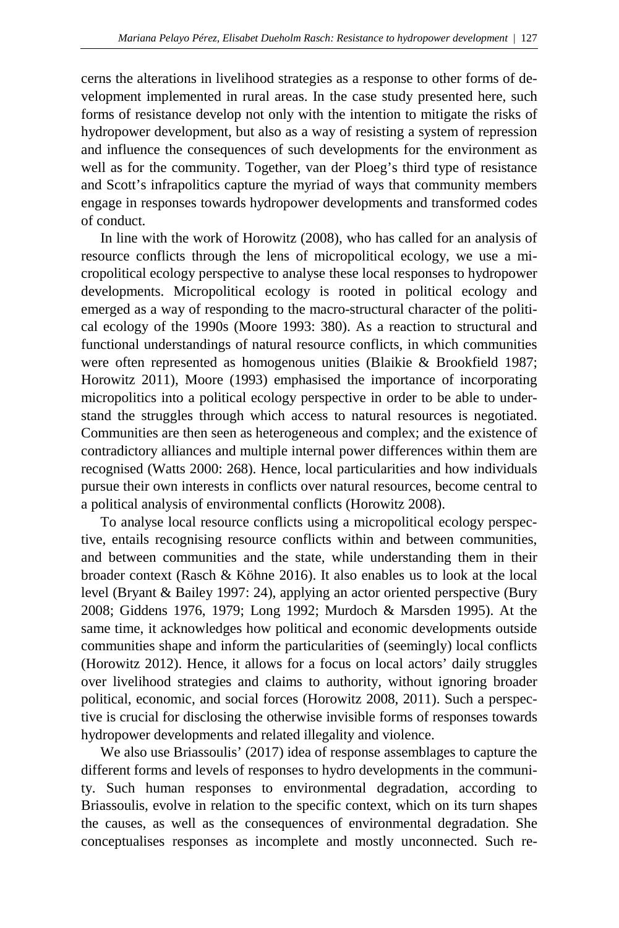cerns the alterations in livelihood strategies as a response to other forms of development implemented in rural areas. In the case study presented here, such forms of resistance develop not only with the intention to mitigate the risks of hydropower development, but also as a way of resisting a system of repression and influence the consequences of such developments for the environment as well as for the community. Together, van der Ploeg's third type of resistance and Scott's infrapolitics capture the myriad of ways that community members engage in responses towards hydropower developments and transformed codes of conduct.

In line with the work of Horowitz (2008), who has called for an analysis of resource conflicts through the lens of micropolitical ecology, we use a micropolitical ecology perspective to analyse these local responses to hydropower developments. Micropolitical ecology is rooted in political ecology and emerged as a way of responding to the macro-structural character of the political ecology of the 1990s (Moore 1993: 380). As a reaction to structural and functional understandings of natural resource conflicts, in which communities were often represented as homogenous unities (Blaikie & Brookfield 1987; Horowitz 2011), Moore (1993) emphasised the importance of incorporating micropolitics into a political ecology perspective in order to be able to understand the struggles through which access to natural resources is negotiated. Communities are then seen as heterogeneous and complex; and the existence of contradictory alliances and multiple internal power differences within them are recognised (Watts 2000: 268). Hence, local particularities and how individuals pursue their own interests in conflicts over natural resources, become central to a political analysis of environmental conflicts (Horowitz 2008).

To analyse local resource conflicts using a micropolitical ecology perspective, entails recognising resource conflicts within and between communities, and between communities and the state, while understanding them in their broader context (Rasch & Köhne 2016). It also enables us to look at the local level (Bryant & Bailey 1997: 24), applying an actor oriented perspective (Bury 2008; Giddens 1976, 1979; Long 1992; Murdoch & Marsden 1995). At the same time, it acknowledges how political and economic developments outside communities shape and inform the particularities of (seemingly) local conflicts (Horowitz 2012). Hence, it allows for a focus on local actors' daily struggles over livelihood strategies and claims to authority, without ignoring broader political, economic, and social forces (Horowitz 2008, 2011). Such a perspective is crucial for disclosing the otherwise invisible forms of responses towards hydropower developments and related illegality and violence.

We also use Briassoulis' (2017) idea of response assemblages to capture the different forms and levels of responses to hydro developments in the community. Such human responses to environmental degradation, according to Briassoulis, evolve in relation to the specific context, which on its turn shapes the causes, as well as the consequences of environmental degradation. She conceptualises responses as incomplete and mostly unconnected. Such re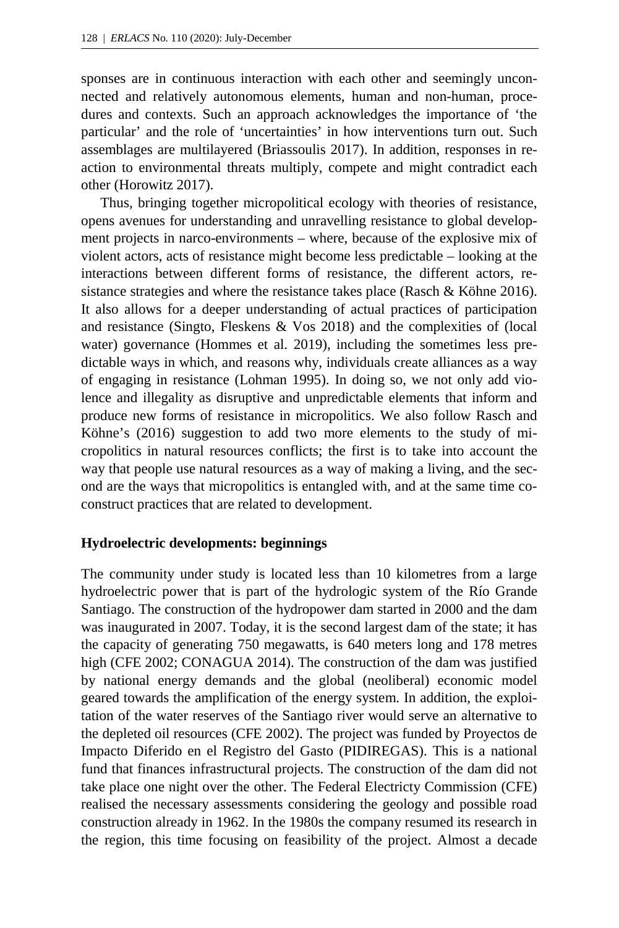sponses are in continuous interaction with each other and seemingly unconnected and relatively autonomous elements, human and non-human, procedures and contexts. Such an approach acknowledges the importance of 'the particular' and the role of 'uncertainties' in how interventions turn out. Such assemblages are multilayered (Briassoulis 2017). In addition, responses in reaction to environmental threats multiply, compete and might contradict each other (Horowitz 2017).

Thus, bringing together micropolitical ecology with theories of resistance, opens avenues for understanding and unravelling resistance to global development projects in narco-environments – where, because of the explosive mix of violent actors, acts of resistance might become less predictable – looking at the interactions between different forms of resistance, the different actors, resistance strategies and where the resistance takes place (Rasch & Köhne 2016). It also allows for a deeper understanding of actual practices of participation and resistance (Singto, Fleskens & Vos 2018) and the complexities of (local water) governance (Hommes et al. 2019), including the sometimes less predictable ways in which, and reasons why, individuals create alliances as a way of engaging in resistance (Lohman 1995). In doing so, we not only add violence and illegality as disruptive and unpredictable elements that inform and produce new forms of resistance in micropolitics. We also follow Rasch and Köhne's (2016) suggestion to add two more elements to the study of micropolitics in natural resources conflicts; the first is to take into account the way that people use natural resources as a way of making a living, and the second are the ways that micropolitics is entangled with, and at the same time coconstruct practices that are related to development.

#### **Hydroelectric developments: beginnings**

The community under study is located less than 10 kilometres from a large hydroelectric power that is part of the hydrologic system of the Río Grande Santiago. The construction of the hydropower dam started in 2000 and the dam was inaugurated in 2007. Today, it is the second largest dam of the state; it has the capacity of generating 750 megawatts, is 640 meters long and 178 metres high (CFE 2002; CONAGUA 2014). The construction of the dam was justified by national energy demands and the global (neoliberal) economic model geared towards the amplification of the energy system. In addition, the exploitation of the water reserves of the Santiago river would serve an alternative to the depleted oil resources (CFE 2002). The project was funded by Proyectos de Impacto Diferido en el Registro del Gasto (PIDIREGAS). This is a national fund that finances infrastructural projects. The construction of the dam did not take place one night over the other. The Federal Electricty Commission (CFE) realised the necessary assessments considering the geology and possible road construction already in 1962. In the 1980s the company resumed its research in the region, this time focusing on feasibility of the project. Almost a decade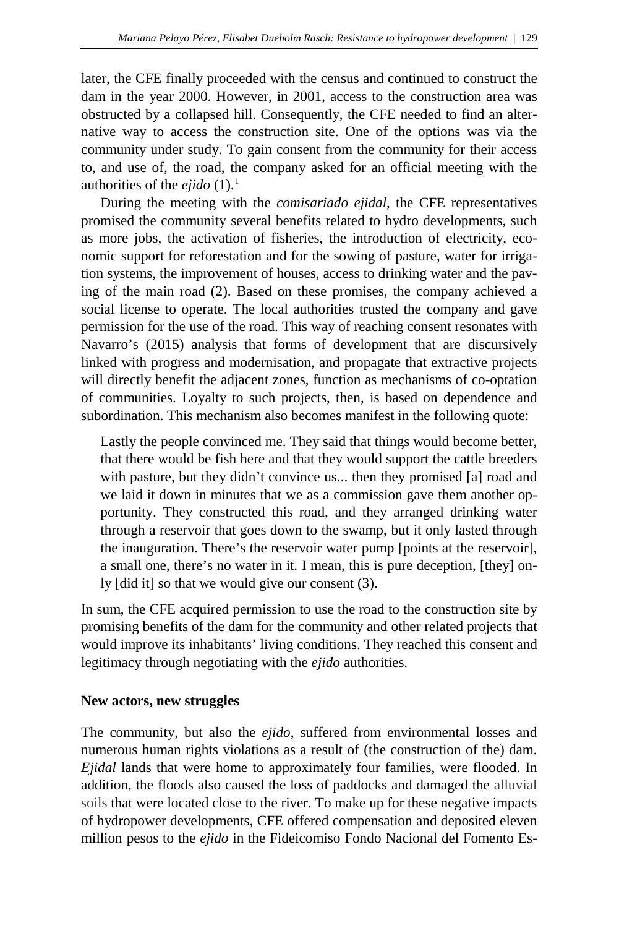later, the CFE finally proceeded with the census and continued to construct the dam in the year 2000. However, in 2001, access to the construction area was obstructed by a collapsed hill. Consequently, the CFE needed to find an alternative way to access the construction site. One of the options was via the community under study. To gain consent from the community for their access to, and use of, the road, the company asked for an official meeting with the authorities of the *ejido*  $(1)$  $(1)$  $(1)$ .<sup>1</sup>

During the meeting with the *comisariado ejidal*, the CFE representatives promised the community several benefits related to hydro developments, such as more jobs, the activation of fisheries, the introduction of electricity, economic support for reforestation and for the sowing of pasture, water for irrigation systems, the improvement of houses, access to drinking water and the paving of the main road (2). Based on these promises, the company achieved a social license to operate. The local authorities trusted the company and gave permission for the use of the road. This way of reaching consent resonates with Navarro's (2015) analysis that forms of development that are discursively linked with progress and modernisation, and propagate that extractive projects will directly benefit the adjacent zones, function as mechanisms of co-optation of communities. Loyalty to such projects, then, is based on dependence and subordination. This mechanism also becomes manifest in the following quote:

Lastly the people convinced me. They said that things would become better, that there would be fish here and that they would support the cattle breeders with pasture, but they didn't convince us... then they promised [a] road and we laid it down in minutes that we as a commission gave them another opportunity. They constructed this road, and they arranged drinking water through a reservoir that goes down to the swamp, but it only lasted through the inauguration. There's the reservoir water pump [points at the reservoir], a small one, there's no water in it. I mean, this is pure deception, [they] only [did it] so that we would give our consent (3).

In sum, the CFE acquired permission to use the road to the construction site by promising benefits of the dam for the community and other related projects that would improve its inhabitants' living conditions. They reached this consent and legitimacy through negotiating with the *ejido* authorities.

## **New actors, new struggles**

The community, but also the *ejido*, suffered from environmental losses and numerous human rights violations as a result of (the construction of the) dam. *Ejidal* lands that were home to approximately four families, were flooded. In addition, the floods also caused the loss of paddocks and damaged the alluvial soils that were located close to the river. To make up for these negative impacts of hydropower developments, CFE offered compensation and deposited eleven million pesos to the *ejido* in the Fideicomiso Fondo Nacional del Fomento Es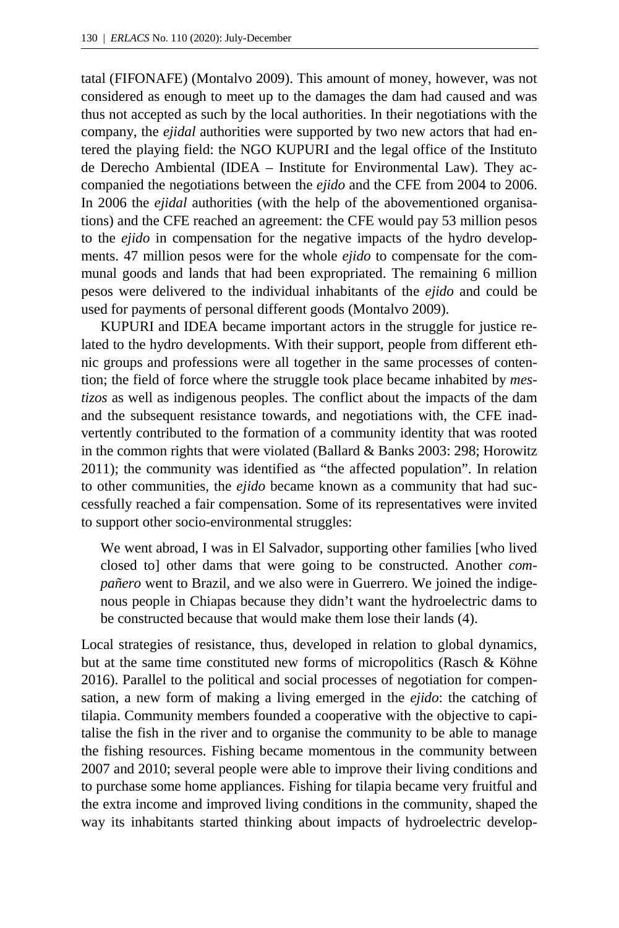tatal (FIFONAFE) (Montalvo 2009). This amount of money, however, was not considered as enough to meet up to the damages the dam had caused and was thus not accepted as such by the local authorities. In their negotiations with the company, the *ejidal* authorities were supported by two new actors that had entered the playing field: the NGO KUPURI and the legal office of the Instituto de Derecho Ambiental (IDEA – Institute for Environmental Law). They accompanied the negotiations between the *ejido* and the CFE from 2004 to 2006. In 2006 the *ejidal* authorities (with the help of the abovementioned organisations) and the CFE reached an agreement: the CFE would pay 53 million pesos to the *ejido* in compensation for the negative impacts of the hydro developments. 47 million pesos were for the whole *ejido* to compensate for the communal goods and lands that had been expropriated. The remaining 6 million pesos were delivered to the individual inhabitants of the *ejido* and could be used for payments of personal different goods (Montalvo 2009).

KUPURI and IDEA became important actors in the struggle for justice related to the hydro developments. With their support, people from different ethnic groups and professions were all together in the same processes of contention; the field of force where the struggle took place became inhabited by *mestizos* as well as indigenous peoples. The conflict about the impacts of the dam and the subsequent resistance towards, and negotiations with, the CFE inadvertently contributed to the formation of a community identity that was rooted in the common rights that were violated (Ballard & Banks 2003: 298; Horowitz 2011); the community was identified as "the affected population". In relation to other communities, the *ejido* became known as a community that had successfully reached a fair compensation. Some of its representatives were invited to support other socio-environmental struggles:

We went abroad, I was in El Salvador, supporting other families [who lived closed to] other dams that were going to be constructed. Another *compañero* went to Brazil, and we also were in Guerrero. We joined the indigenous people in Chiapas because they didn't want the hydroelectric dams to be constructed because that would make them lose their lands (4).

Local strategies of resistance, thus, developed in relation to global dynamics, but at the same time constituted new forms of micropolitics (Rasch & Köhne 2016). Parallel to the political and social processes of negotiation for compensation, a new form of making a living emerged in the *ejido*: the catching of tilapia. Community members founded a cooperative with the objective to capitalise the fish in the river and to organise the community to be able to manage the fishing resources. Fishing became momentous in the community between 2007 and 2010; several people were able to improve their living conditions and to purchase some home appliances. Fishing for tilapia became very fruitful and the extra income and improved living conditions in the community, shaped the way its inhabitants started thinking about impacts of hydroelectric develop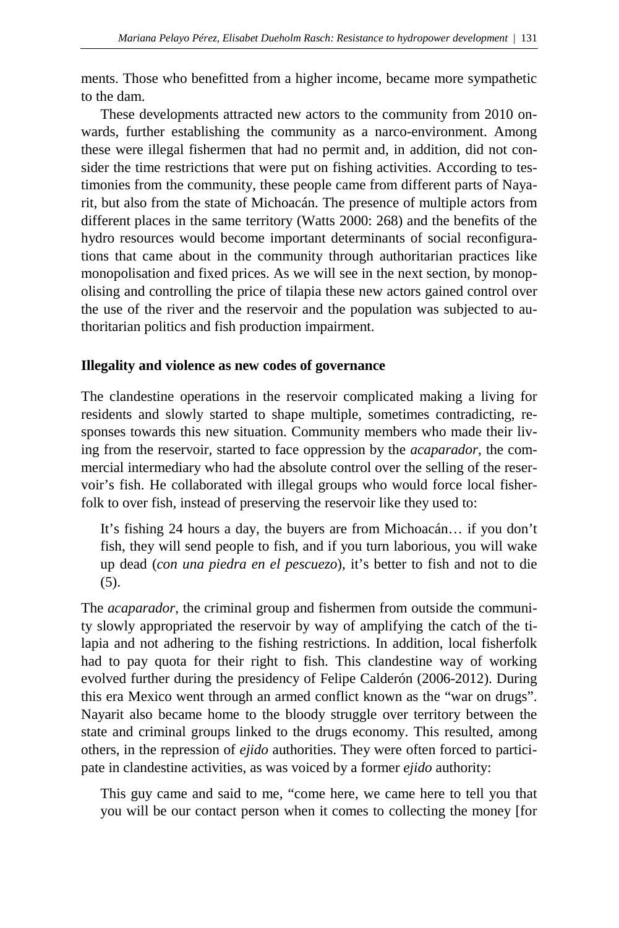ments. Those who benefitted from a higher income, became more sympathetic to the dam.

These developments attracted new actors to the community from 2010 onwards, further establishing the community as a narco-environment. Among these were illegal fishermen that had no permit and, in addition, did not consider the time restrictions that were put on fishing activities. According to testimonies from the community, these people came from different parts of Nayarit, but also from the state of Michoacán. The presence of multiple actors from different places in the same territory (Watts 2000: 268) and the benefits of the hydro resources would become important determinants of social reconfigurations that came about in the community through authoritarian practices like monopolisation and fixed prices. As we will see in the next section, by monopolising and controlling the price of tilapia these new actors gained control over the use of the river and the reservoir and the population was subjected to authoritarian politics and fish production impairment.

#### **Illegality and violence as new codes of governance**

The clandestine operations in the reservoir complicated making a living for residents and slowly started to shape multiple, sometimes contradicting, responses towards this new situation. Community members who made their living from the reservoir, started to face oppression by the *acaparador*, the commercial intermediary who had the absolute control over the selling of the reservoir's fish. He collaborated with illegal groups who would force local fisherfolk to over fish, instead of preserving the reservoir like they used to:

It's fishing 24 hours a day, the buyers are from Michoacán… if you don't fish, they will send people to fish, and if you turn laborious, you will wake up dead (*con una piedra en el pescuezo*), it's better to fish and not to die (5).

The *acaparador*, the criminal group and fishermen from outside the community slowly appropriated the reservoir by way of amplifying the catch of the tilapia and not adhering to the fishing restrictions. In addition, local fisherfolk had to pay quota for their right to fish. This clandestine way of working evolved further during the presidency of Felipe Calderón (2006-2012). During this era Mexico went through an armed conflict known as the "war on drugs". Nayarit also became home to the bloody struggle over territory between the state and criminal groups linked to the drugs economy. This resulted, among others, in the repression of *ejido* authorities. They were often forced to participate in clandestine activities, as was voiced by a former *ejido* authority:

This guy came and said to me, "come here, we came here to tell you that you will be our contact person when it comes to collecting the money [for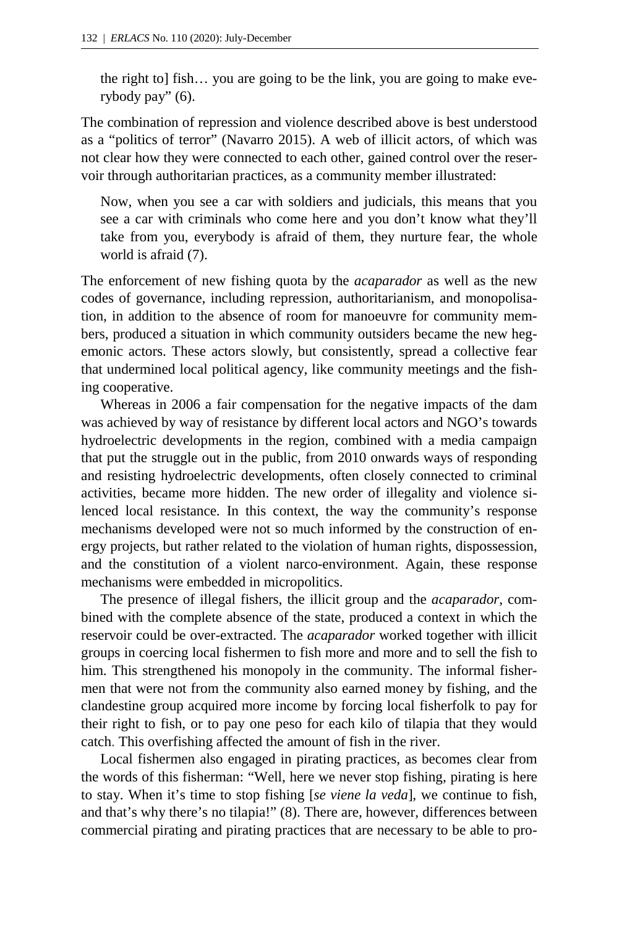the right to] fish… you are going to be the link, you are going to make everybody pay" (6).

The combination of repression and violence described above is best understood as a "politics of terror" (Navarro 2015). A web of illicit actors, of which was not clear how they were connected to each other, gained control over the reservoir through authoritarian practices, as a community member illustrated:

Now, when you see a car with soldiers and judicials, this means that you see a car with criminals who come here and you don't know what they'll take from you, everybody is afraid of them, they nurture fear, the whole world is afraid (7).

The enforcement of new fishing quota by the *acaparador* as well as the new codes of governance, including repression, authoritarianism, and monopolisation, in addition to the absence of room for manoeuvre for community members, produced a situation in which community outsiders became the new hegemonic actors. These actors slowly, but consistently, spread a collective fear that undermined local political agency, like community meetings and the fishing cooperative.

Whereas in 2006 a fair compensation for the negative impacts of the dam was achieved by way of resistance by different local actors and NGO's towards hydroelectric developments in the region, combined with a media campaign that put the struggle out in the public, from 2010 onwards ways of responding and resisting hydroelectric developments, often closely connected to criminal activities, became more hidden. The new order of illegality and violence silenced local resistance. In this context, the way the community's response mechanisms developed were not so much informed by the construction of energy projects, but rather related to the violation of human rights, dispossession, and the constitution of a violent narco-environment. Again, these response mechanisms were embedded in micropolitics.

The presence of illegal fishers, the illicit group and the *acaparador*, combined with the complete absence of the state, produced a context in which the reservoir could be over-extracted. The *acaparador* worked together with illicit groups in coercing local fishermen to fish more and more and to sell the fish to him. This strengthened his monopoly in the community. The informal fishermen that were not from the community also earned money by fishing, and the clandestine group acquired more income by forcing local fisherfolk to pay for their right to fish, or to pay one peso for each kilo of tilapia that they would catch. This overfishing affected the amount of fish in the river.

Local fishermen also engaged in pirating practices, as becomes clear from the words of this fisherman: "Well, here we never stop fishing, pirating is here to stay. When it's time to stop fishing [*se viene la veda*], we continue to fish, and that's why there's no tilapia!" (8). There are, however, differences between commercial pirating and pirating practices that are necessary to be able to pro-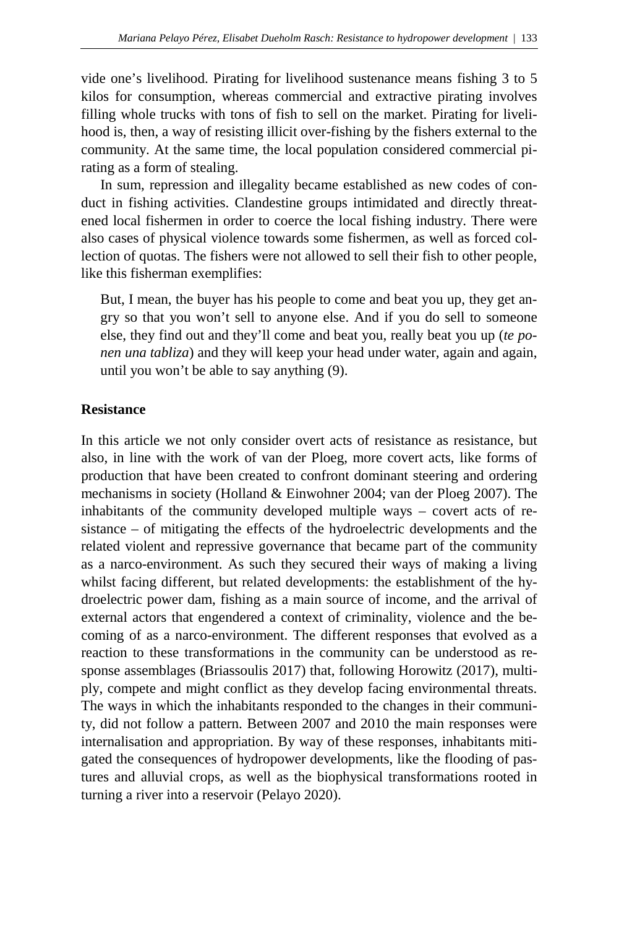vide one's livelihood. Pirating for livelihood sustenance means fishing 3 to 5 kilos for consumption, whereas commercial and extractive pirating involves filling whole trucks with tons of fish to sell on the market. Pirating for livelihood is, then, a way of resisting illicit over-fishing by the fishers external to the community. At the same time, the local population considered commercial pirating as a form of stealing.

In sum, repression and illegality became established as new codes of conduct in fishing activities. Clandestine groups intimidated and directly threatened local fishermen in order to coerce the local fishing industry. There were also cases of physical violence towards some fishermen, as well as forced collection of quotas. The fishers were not allowed to sell their fish to other people, like this fisherman exemplifies:

But, I mean, the buyer has his people to come and beat you up, they get angry so that you won't sell to anyone else. And if you do sell to someone else, they find out and they'll come and beat you, really beat you up (*te ponen una tabliza*) and they will keep your head under water, again and again, until you won't be able to say anything (9).

## **Resistance**

In this article we not only consider overt acts of resistance as resistance, but also, in line with the work of van der Ploeg, more covert acts, like forms of production that have been created to confront dominant steering and ordering mechanisms in society (Holland & Einwohner 2004; van der Ploeg 2007). The inhabitants of the community developed multiple ways – covert acts of resistance – of mitigating the effects of the hydroelectric developments and the related violent and repressive governance that became part of the community as a narco-environment. As such they secured their ways of making a living whilst facing different, but related developments: the establishment of the hydroelectric power dam, fishing as a main source of income, and the arrival of external actors that engendered a context of criminality, violence and the becoming of as a narco-environment. The different responses that evolved as a reaction to these transformations in the community can be understood as response assemblages (Briassoulis 2017) that, following Horowitz (2017), multiply, compete and might conflict as they develop facing environmental threats. The ways in which the inhabitants responded to the changes in their community, did not follow a pattern. Between 2007 and 2010 the main responses were internalisation and appropriation. By way of these responses, inhabitants mitigated the consequences of hydropower developments, like the flooding of pastures and alluvial crops, as well as the biophysical transformations rooted in turning a river into a reservoir (Pelayo 2020).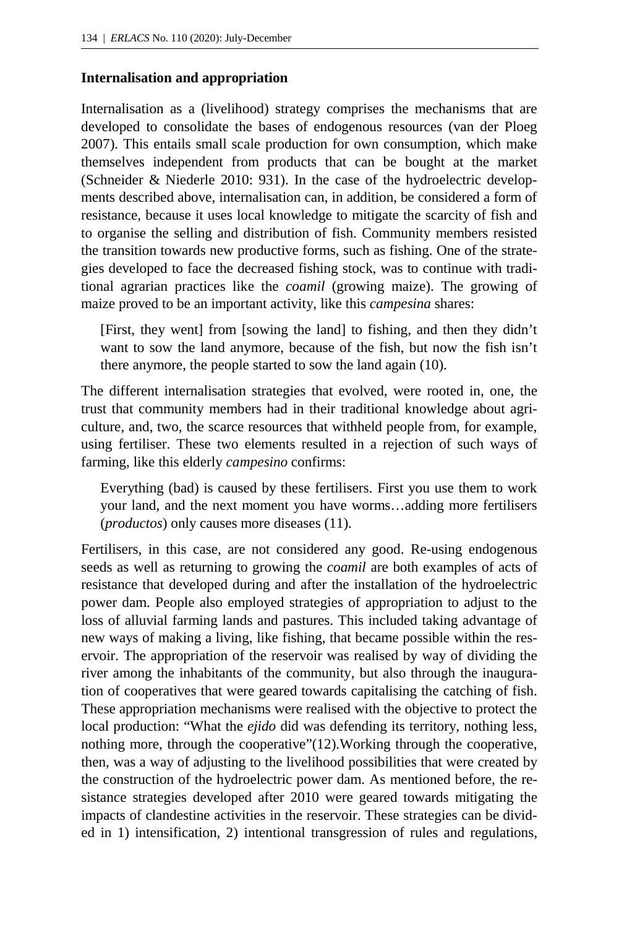## **Internalisation and appropriation**

Internalisation as a (livelihood) strategy comprises the mechanisms that are developed to consolidate the bases of endogenous resources (van der Ploeg 2007). This entails small scale production for own consumption, which make themselves independent from products that can be bought at the market (Schneider & Niederle 2010: 931). In the case of the hydroelectric developments described above, internalisation can, in addition, be considered a form of resistance, because it uses local knowledge to mitigate the scarcity of fish and to organise the selling and distribution of fish. Community members resisted the transition towards new productive forms, such as fishing. One of the strategies developed to face the decreased fishing stock, was to continue with traditional agrarian practices like the *coamil* (growing maize). The growing of maize proved to be an important activity, like this *campesina* shares:

[First, they went] from [sowing the land] to fishing, and then they didn't want to sow the land anymore, because of the fish, but now the fish isn't there anymore, the people started to sow the land again (10).

The different internalisation strategies that evolved, were rooted in, one, the trust that community members had in their traditional knowledge about agriculture, and, two, the scarce resources that withheld people from, for example, using fertiliser. These two elements resulted in a rejection of such ways of farming, like this elderly *campesino* confirms:

Everything (bad) is caused by these fertilisers. First you use them to work your land, and the next moment you have worms…adding more fertilisers (*productos*) only causes more diseases (11).

Fertilisers, in this case, are not considered any good. Re-using endogenous seeds as well as returning to growing the *coamil* are both examples of acts of resistance that developed during and after the installation of the hydroelectric power dam. People also employed strategies of appropriation to adjust to the loss of alluvial farming lands and pastures. This included taking advantage of new ways of making a living, like fishing, that became possible within the reservoir. The appropriation of the reservoir was realised by way of dividing the river among the inhabitants of the community, but also through the inauguration of cooperatives that were geared towards capitalising the catching of fish. These appropriation mechanisms were realised with the objective to protect the local production: "What the *ejido* did was defending its territory, nothing less, nothing more, through the cooperative"(12). Working through the cooperative, then, was a way of adjusting to the livelihood possibilities that were created by the construction of the hydroelectric power dam. As mentioned before, the resistance strategies developed after 2010 were geared towards mitigating the impacts of clandestine activities in the reservoir. These strategies can be divided in 1) intensification, 2) intentional transgression of rules and regulations,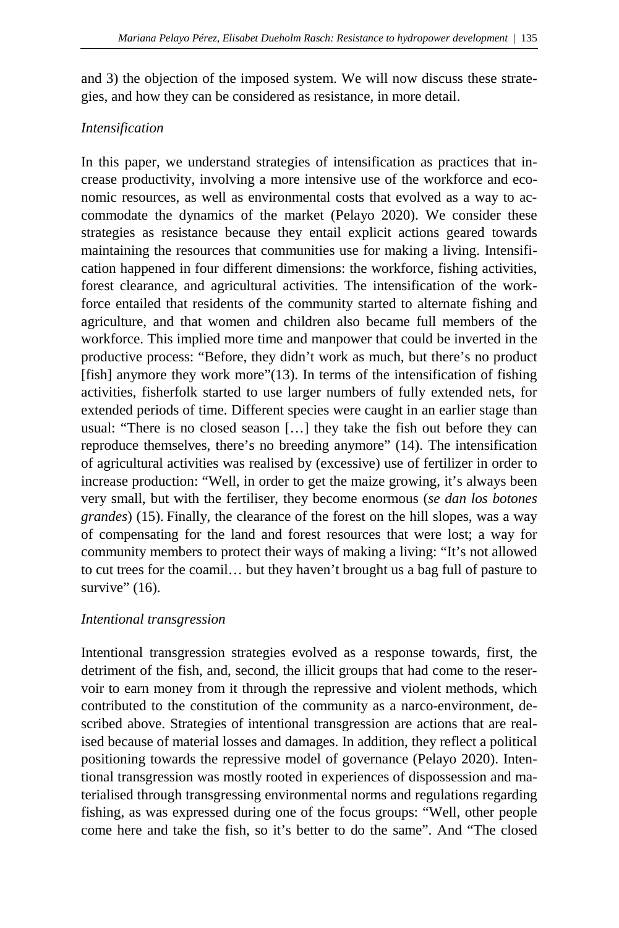and 3) the objection of the imposed system. We will now discuss these strategies, and how they can be considered as resistance, in more detail.

## *Intensification*

In this paper, we understand strategies of intensification as practices that increase productivity, involving a more intensive use of the workforce and economic resources, as well as environmental costs that evolved as a way to accommodate the dynamics of the market (Pelayo 2020). We consider these strategies as resistance because they entail explicit actions geared towards maintaining the resources that communities use for making a living. Intensification happened in four different dimensions: the workforce, fishing activities, forest clearance, and agricultural activities. The intensification of the workforce entailed that residents of the community started to alternate fishing and agriculture, and that women and children also became full members of the workforce. This implied more time and manpower that could be inverted in the productive process: "Before, they didn't work as much, but there's no product [fish] anymore they work more"(13). In terms of the intensification of fishing activities, fisherfolk started to use larger numbers of fully extended nets, for extended periods of time. Different species were caught in an earlier stage than usual: "There is no closed season […] they take the fish out before they can reproduce themselves, there's no breeding anymore" (14). The intensification of agricultural activities was realised by (excessive) use of fertilizer in order to increase production: "Well, in order to get the maize growing, it's always been very small, but with the fertiliser, they become enormous (*se dan los botones grandes*) (15). Finally, the clearance of the forest on the hill slopes, was a way of compensating for the land and forest resources that were lost; a way for community members to protect their ways of making a living: "It's not allowed to cut trees for the coamil… but they haven't brought us a bag full of pasture to survive"  $(16)$ .

## *Intentional transgression*

Intentional transgression strategies evolved as a response towards, first, the detriment of the fish, and, second, the illicit groups that had come to the reservoir to earn money from it through the repressive and violent methods, which contributed to the constitution of the community as a narco-environment, described above. Strategies of intentional transgression are actions that are realised because of material losses and damages. In addition, they reflect a political positioning towards the repressive model of governance (Pelayo 2020). Intentional transgression was mostly rooted in experiences of dispossession and materialised through transgressing environmental norms and regulations regarding fishing, as was expressed during one of the focus groups: "Well, other people come here and take the fish, so it's better to do the same". And "The closed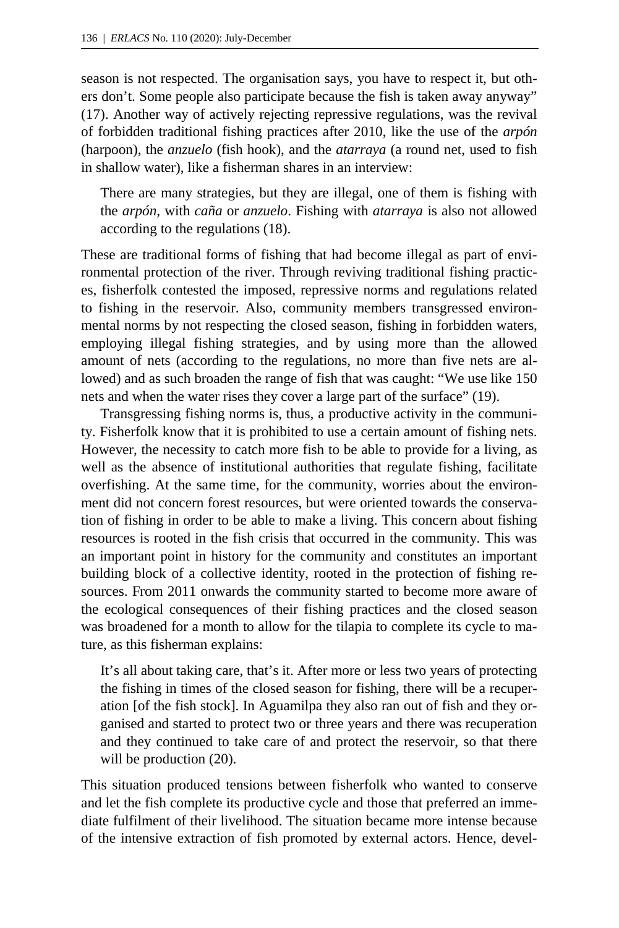season is not respected. The organisation says, you have to respect it, but others don't. Some people also participate because the fish is taken away anyway" (17). Another way of actively rejecting repressive regulations, was the revival of forbidden traditional fishing practices after 2010, like the use of the *arpón*  (harpoon), the *anzuelo* (fish hook), and the *atarraya* (a round net, used to fish in shallow water), like a fisherman shares in an interview:

There are many strategies, but they are illegal, one of them is fishing with the *arpón*, with *caña* or *anzuelo*. Fishing with *atarraya* is also not allowed according to the regulations (18).

These are traditional forms of fishing that had become illegal as part of environmental protection of the river. Through reviving traditional fishing practices, fisherfolk contested the imposed, repressive norms and regulations related to fishing in the reservoir. Also, community members transgressed environmental norms by not respecting the closed season, fishing in forbidden waters, employing illegal fishing strategies, and by using more than the allowed amount of nets (according to the regulations, no more than five nets are allowed) and as such broaden the range of fish that was caught: "We use like 150 nets and when the water rises they cover a large part of the surface" (19).

Transgressing fishing norms is, thus, a productive activity in the community. Fisherfolk know that it is prohibited to use a certain amount of fishing nets. However, the necessity to catch more fish to be able to provide for a living, as well as the absence of institutional authorities that regulate fishing, facilitate overfishing. At the same time, for the community, worries about the environment did not concern forest resources, but were oriented towards the conservation of fishing in order to be able to make a living. This concern about fishing resources is rooted in the fish crisis that occurred in the community. This was an important point in history for the community and constitutes an important building block of a collective identity, rooted in the protection of fishing resources. From 2011 onwards the community started to become more aware of the ecological consequences of their fishing practices and the closed season was broadened for a month to allow for the tilapia to complete its cycle to mature, as this fisherman explains:

It's all about taking care, that's it. After more or less two years of protecting the fishing in times of the closed season for fishing, there will be a recuperation [of the fish stock]. In Aguamilpa they also ran out of fish and they organised and started to protect two or three years and there was recuperation and they continued to take care of and protect the reservoir, so that there will be production  $(20)$ .

This situation produced tensions between fisherfolk who wanted to conserve and let the fish complete its productive cycle and those that preferred an immediate fulfilment of their livelihood. The situation became more intense because of the intensive extraction of fish promoted by external actors. Hence, devel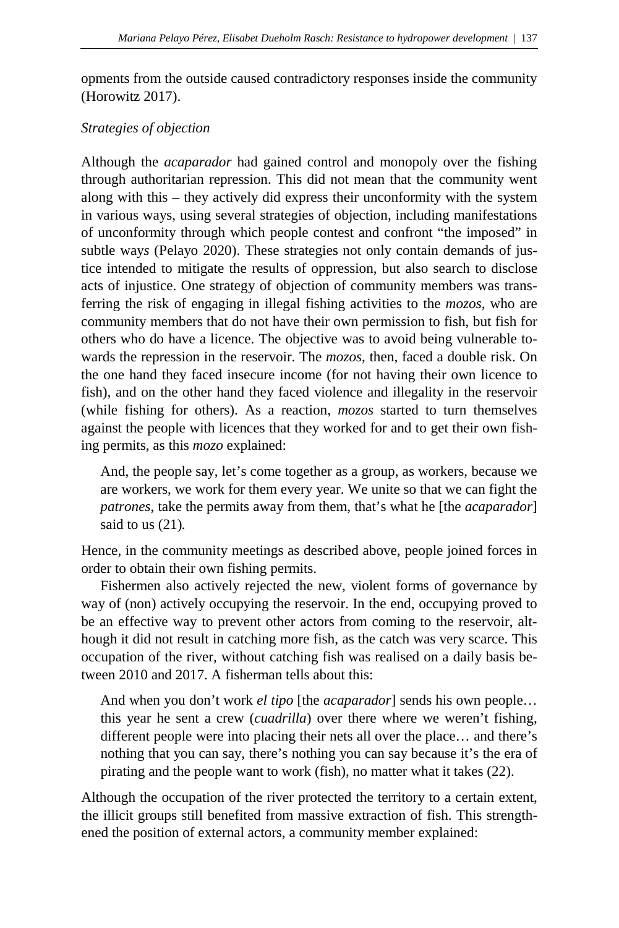opments from the outside caused contradictory responses inside the community (Horowitz 2017).

#### *Strategies of objection*

Although the *acaparador* had gained control and monopoly over the fishing through authoritarian repression. This did not mean that the community went along with this – they actively did express their unconformity with the system in various ways, using several strategies of objection, including manifestations of unconformity through which people contest and confront "the imposed" in subtle way*s* (Pelayo 2020). These strategies not only contain demands of justice intended to mitigate the results of oppression, but also search to disclose acts of injustice. One strategy of objection of community members was transferring the risk of engaging in illegal fishing activities to the *mozos*, who are community members that do not have their own permission to fish, but fish for others who do have a licence. The objective was to avoid being vulnerable towards the repression in the reservoir. The *mozos*, then, faced a double risk. On the one hand they faced insecure income (for not having their own licence to fish), and on the other hand they faced violence and illegality in the reservoir (while fishing for others). As a reaction, *mozos* started to turn themselves against the people with licences that they worked for and to get their own fishing permits, as this *mozo* explained:

And, the people say, let's come together as a group, as workers, because we are workers, we work for them every year. We unite so that we can fight the *patrones*, take the permits away from them, that's what he [the *acaparador*] said to us (21)*.*

Hence, in the community meetings as described above, people joined forces in order to obtain their own fishing permits.

Fishermen also actively rejected the new, violent forms of governance by way of (non) actively occupying the reservoir. In the end, occupying proved to be an effective way to prevent other actors from coming to the reservoir, although it did not result in catching more fish, as the catch was very scarce. This occupation of the river, without catching fish was realised on a daily basis between 2010 and 2017. A fisherman tells about this:

And when you don't work *el tipo* [the *acaparador*] sends his own people… this year he sent a crew (*cuadrilla*) over there where we weren't fishing, different people were into placing their nets all over the place… and there's nothing that you can say, there's nothing you can say because it's the era of pirating and the people want to work (fish), no matter what it takes (22).

Although the occupation of the river protected the territory to a certain extent, the illicit groups still benefited from massive extraction of fish. This strengthened the position of external actors, a community member explained: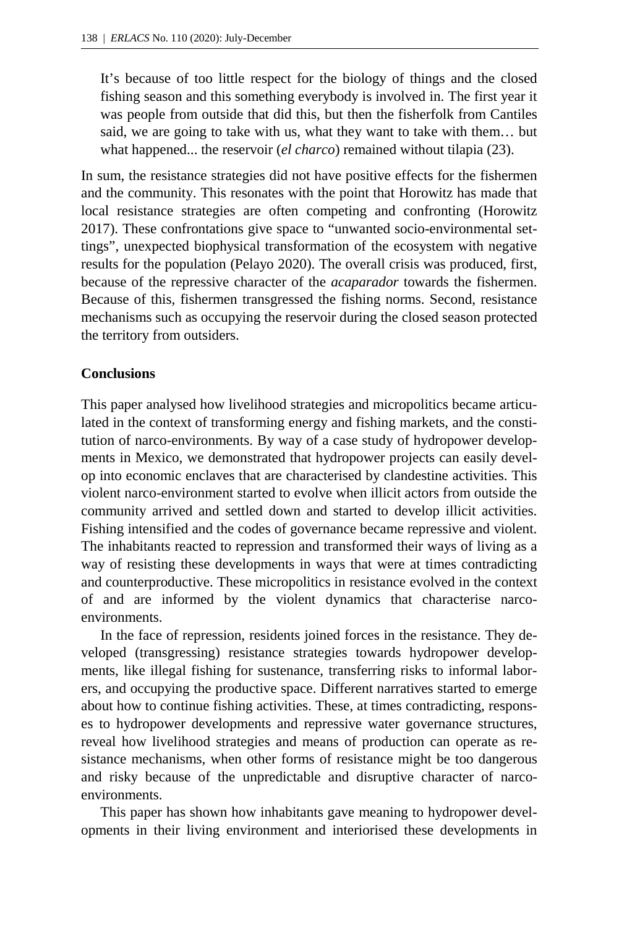It's because of too little respect for the biology of things and the closed fishing season and this something everybody is involved in. The first year it was people from outside that did this, but then the fisherfolk from Cantiles said, we are going to take with us, what they want to take with them… but what happened... the reservoir (*el charco*) remained without tilapia (23).

In sum, the resistance strategies did not have positive effects for the fishermen and the community. This resonates with the point that Horowitz has made that local resistance strategies are often competing and confronting (Horowitz 2017). These confrontations give space to "unwanted socio-environmental settings", unexpected biophysical transformation of the ecosystem with negative results for the population (Pelayo 2020). The overall crisis was produced, first, because of the repressive character of the *acaparador* towards the fishermen. Because of this, fishermen transgressed the fishing norms. Second, resistance mechanisms such as occupying the reservoir during the closed season protected the territory from outsiders.

#### **Conclusions**

This paper analysed how livelihood strategies and micropolitics became articulated in the context of transforming energy and fishing markets, and the constitution of narco-environments. By way of a case study of hydropower developments in Mexico, we demonstrated that hydropower projects can easily develop into economic enclaves that are characterised by clandestine activities. This violent narco-environment started to evolve when illicit actors from outside the community arrived and settled down and started to develop illicit activities. Fishing intensified and the codes of governance became repressive and violent. The inhabitants reacted to repression and transformed their ways of living as a way of resisting these developments in ways that were at times contradicting and counterproductive. These micropolitics in resistance evolved in the context of and are informed by the violent dynamics that characterise narcoenvironments.

In the face of repression, residents joined forces in the resistance. They developed (transgressing) resistance strategies towards hydropower developments, like illegal fishing for sustenance, transferring risks to informal laborers, and occupying the productive space. Different narratives started to emerge about how to continue fishing activities. These, at times contradicting, responses to hydropower developments and repressive water governance structures, reveal how livelihood strategies and means of production can operate as resistance mechanisms, when other forms of resistance might be too dangerous and risky because of the unpredictable and disruptive character of narcoenvironments.

This paper has shown how inhabitants gave meaning to hydropower developments in their living environment and interiorised these developments in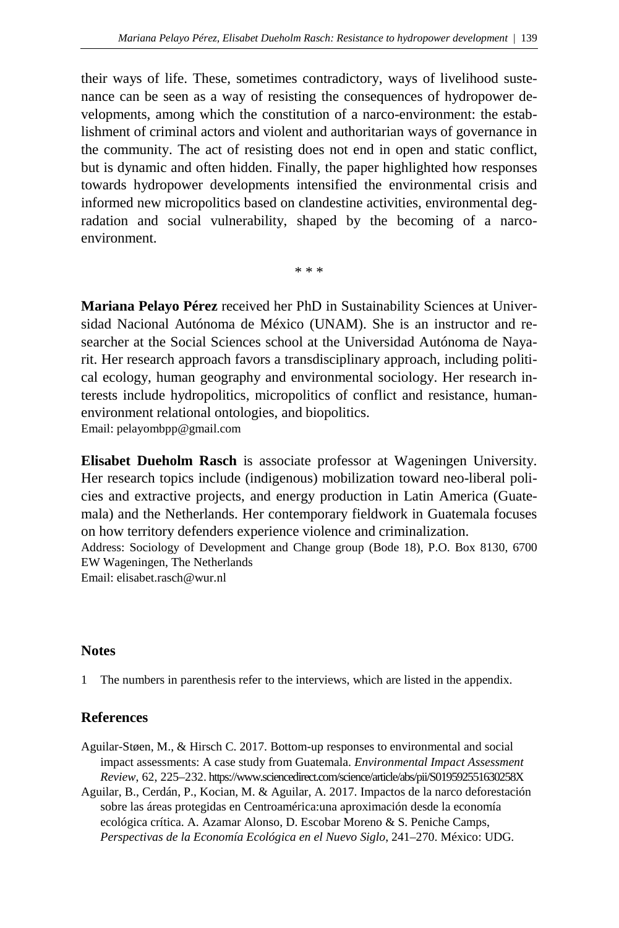their ways of life. These, sometimes contradictory, ways of livelihood sustenance can be seen as a way of resisting the consequences of hydropower developments, among which the constitution of a narco-environment: the establishment of criminal actors and violent and authoritarian ways of governance in the community. The act of resisting does not end in open and static conflict, but is dynamic and often hidden. Finally, the paper highlighted how responses towards hydropower developments intensified the environmental crisis and informed new micropolitics based on clandestine activities, environmental degradation and social vulnerability, shaped by the becoming of a narcoenvironment.

\* \* \*

**Mariana Pelayo Pérez** received her PhD in Sustainability Sciences at Universidad Nacional Autónoma de México (UNAM). She is an instructor and researcher at the Social Sciences school at the Universidad Autónoma de Nayarit. Her research approach favors a transdisciplinary approach, including political ecology, human geography and environmental sociology. Her research interests include hydropolitics, micropolitics of conflict and resistance, humanenvironment relational ontologies, and biopolitics. Email: pelayombpp@gmail.com

**Elisabet Dueholm Rasch** is associate professor at Wageningen University. Her research topics include (indigenous) mobilization toward neo-liberal policies and extractive projects, and energy production in Latin America (Guatemala) and the Netherlands. Her contemporary fieldwork in Guatemala focuses on how territory defenders experience violence and criminalization. Address: Sociology of Development and Change group (Bode 18), P.O. Box 8130, 6700 EW Wageningen, The Netherlands Email: elisabet.rasch@wur.nl

#### **Notes**

1 The numbers in parenthesis refer to the interviews, which are listed in the appendix.

#### **References**

- Aguilar-Støen, M., & Hirsch C. 2017. Bottom-up responses to environmental and social impact assessments: A case study from Guatemala. *Environmental Impact Assessment Review*, 62, 225–23[2.](https://www.sciencedirect.com/science/article/abs/pii/S019592551630258X) <https://www.sciencedirect.com/science/article/abs/pii/S019592551630258X>
- Aguilar, B., Cerdán, P., Kocian, M. & Aguilar, A. 2017. Impactos de la narco deforestación sobre las áreas protegidas en Centroamérica:una aproximación desde la economía ecológica crítica. A. Azamar Alonso, D. Escobar Moreno & S. Peniche Camps, *Perspectivas de la Economía Ecológica en el Nuevo Siglo*, 241–270. México: UDG.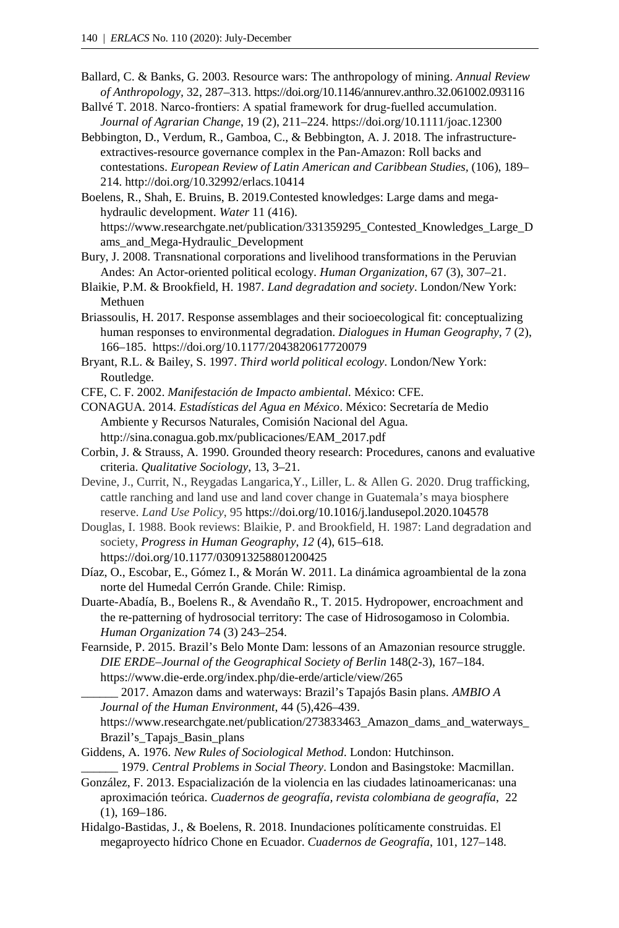- Ballard, C. & Banks, G. 2003. Resource wars: The anthropology of mining. *Annual Review of Anthropology,* 32, 287–313. https://doi.org/10.1146/annurev.anthro.32.061002.093116
- Ballvé T. 2018. Narco-frontiers: A spatial framework for drug-fuelled accumulation. *Journal of Agrarian Change*, 19 (2), 211–224. https://doi.org/10.1111/joac.12300
- Bebbington, D., Verdum, R., Gamboa, C., & Bebbington, A. J. 2018. The infrastructureextractives-resource governance complex in the Pan-Amazon: Roll backs and contestations. *European Review of Latin American and Caribbean Studies,* (106), 189– 21[4.](http://doi.org/10.32992/erlacs.10414) <http://doi.org/10.32992/erlacs.10414>

Boelens, R., Shah, E. Bruins, B. 2019.Cont[ested knowledges: Large dams and mega](https://www.researchgate.net/publication/331359295_Contested_Knowledges_Large_Dams_and_Mega-Hydraulic_Development)hydraulic development. *Water* 11 (416). [https://www.researchgate.net/publication/331359295\\_Contested\\_Knowledges\\_Large\\_D](https://www.researchgate.net/publication/331359295_Contested_Knowledges_Large_Dams_and_Mega-Hydraulic_Development) [ams\\_and\\_Mega-Hydraulic\\_Development](https://www.researchgate.net/publication/331359295_Contested_Knowledges_Large_Dams_and_Mega-Hydraulic_Development)

- Bury, J. 2008. Transnational corporations and livelihood transformations in the Peruvian Andes: An Actor-oriented political ecology. *Human Organization*, 67 (3), 307–21.
- Blaikie, P.M. & Brookfield, H. 1987. *Land degradation and society*. London/New York: Methuen
- Briassoulis, H. 2017. Response assemblages and their socioecological fit: conceptualizing human responses to environmental degradation. *Dialogues in Human Geography,* 7 (2), 166–185. https://doi.org/10.1177/2043820617720079
- Bryant, R.L. & Bailey, S. 1997. *Third world political ecology*. London/New York: Routledge.
- CFE, C. F. 2002. *Manifestación de Impacto ambiental*. México: CFE.
- CONAGUA. 2014. *Estadísticas del Agua en México*. México: Secretaría de Medio Ambiente y Recursos Naturales, Comisión Nacional del Agua. http://sina.conagua.gob.mx/publicaciones/EAM\_2017.pdf
- Corbin, J. & Strauss, A. 1990. Grounded theory research: Procedures, canons and evaluative criteria. *Qualitative Sociology*, 13, 3–21.
- Devine, J., Currit, N., Reygadas Langarica,Y., Liller, L. & Allen G. 2020. Drug trafficking, cattle ranching and land use and land cover change in Guatemala's maya biosphere reserve. *Land Use Policy*, 95 <https://doi.org/10.1016/j.landusepol.2020.104578>
- Douglas, I. 1988. Book reviews: Blaikie, P. and Brookfield, H. 1987: Land degradation and society, *Progress in Human Geography*, *12* (4), 615–618. https://doi.org/10.1177/030913258801200425
- Díaz, O., Escobar, E., Gómez I., & Morán W. 2011. La dinámica agroambiental de la zona norte del Humedal Cerrón Grande. Chile: Rimisp.
- Duarte-Abadía, B., Boelens R., & Avendaño R., T. 2015. Hydropower, encroachment and the re-patterning of hydrosocial territory: The case of Hidrosogamoso in Colombia. *Human Organization* 74 (3) 243–254.
- Fearnside, P. 2015. Brazil's Belo Monte Dam: lessons of an Amazonian resource struggle. *DIE ERDE–Journal of the Geographical Society of Berlin* 148(2-3), 167–18[4.](https://www.die-erde.org/index.php/die-erde/article/view/265) <https://www.die-erde.org/index.php/die-erde/article/view/265>
	- \_\_\_\_\_\_ 2017. Amazon dams and waterways: Brazil's Tapajós Basin plans. *AMBIO A Journal of the Human Environment*, 44 (5),426–439[.](https://www.researchgate.net/publication/273833463_Amazon_dams_and_waterways_Brazil)
	- [https://www.researchgate.net/publication/273833463\\_Amazon\\_dams\\_and\\_waterways\\_](https://www.researchgate.net/publication/273833463_Amazon_dams_and_waterways_Brazil) [Brazil's\\_Tapajs\\_Basin\\_plans](https://www.researchgate.net/publication/273833463_Amazon_dams_and_waterways_Brazil)
- Giddens, A. 1976. *New Rules of Sociological Method*. London: Hutchinson. \_\_\_\_\_\_ 1979. *Central Problems in Social Theory*. London and Basingstoke: Macmillan.
- González, F. 2013. Espacialización de la violencia en las ciudades latinoamericanas: una aproximación teórica. *Cuadernos de geografía, revista colombiana de geografía*, 22 (1), 169–186.
- Hidalgo-Bastidas, J., & Boelens, R. 2018. Inundaciones políticamente construidas. El megaproyecto hídrico Chone en Ecuador. *Cuadernos de Geografía*, 101, 127–14[8.](https://www.researchgate.net/publication/331148944_Inundaciones_politicamente_construidas_El_megaproyecto_hidrico_Chone_en_Ecuador/link/5dd3b88992851c382f49c435/download)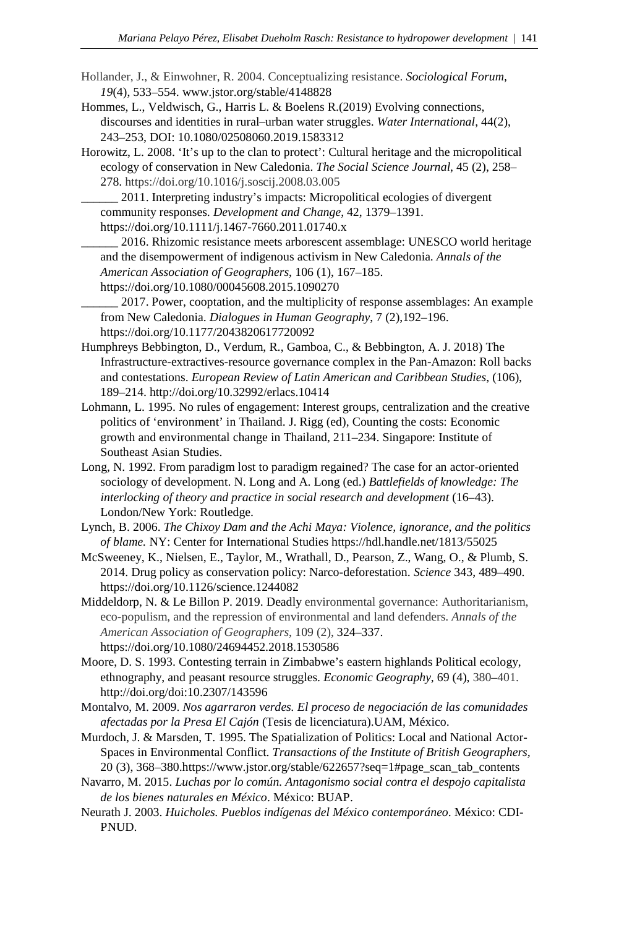- Hollander, J., & Einwohner, R. 2004. Conceptualizing resistance. *Sociological Forum, 19*(4), 533–554. www.jstor.org/stable/4148828
- Hommes, L., Veldwisch, G., Harris L. & Boelens R.(2019) Evolving connections, discourses and identities in rural–urban water struggles. *Water International*, 44(2), 243–253, DOI: 10.1080/02508060.2019.1583312
- Horowitz, L. 2008. 'It's up to the clan to protect': Cultural heritage and the micropolitical ecology of conservation in New Caledonia. *The Social Science Journal*, 45 (2), 258– 278. https://doi.org/10.1016/j.soscij.2008.03.005

\_\_\_\_\_\_ 2011. Interpreting industry's impacts: Micropolitical ecologies of divergent community responses. *Development and Change*, 42, 1379–1391. https://doi.org/10.1111/j.1467-7660.2011.01740.x

\_\_\_\_\_\_ 2016. Rhizomic resistance meets arborescent assemblage: UNESCO world heritage and the disempowerment of indigenous activism in New Caledonia. *Annals of the American Association of Geographers*, 106 (1), 167–185. https://doi.org/10.1080/00045608.2015.1090270

2017. Power, cooptation, and the multiplicity of response assemblages: An example from New Caledonia. *Dialogues in Human Geography*, 7 (2),192–196. https://doi.org/10.1177/2043820617720092

- Humphreys Bebbington, D., Verdum, R., Gamboa, C., & Bebbington, A. J. 2018) The Infrastructure-extractives-resource governance complex in the Pan-Amazon: Roll backs and contestations. *European Review of Latin American and Caribbean Studies*, (106), 189–214. http://doi.org/10.32992/erlacs.10414
- Lohmann, L. 1995. No rules of engagement: Interest groups, centralization and the creative politics of 'environment' in Thailand. J. Rigg (ed), Counting the costs: Economic growth and environmental change in Thailand, 211–234. Singapore: Institute of Southeast Asian Studies.
- Long, N. 1992. From paradigm lost to paradigm regained? The case for an actor-oriented sociology of development. N. Long and A. Long (ed.) *Battlefields of knowledge: The interlocking of theory and practice in social research and development* (16–43). London/New York: Routledge.
- Lynch, B. 2006. *The Chixoy Dam and the Achi Maya: Violence, ignorance, and the politics of blame.* NY: Center for International Studie[s](https://hdl.handle.net/1813/55025) <https://hdl.handle.net/1813/55025>
- McSweeney, K., Nielsen, E., Taylor, M., Wrathall, D., Pearson, Z., Wang, O., & Plumb, S. 2014. Drug policy as conservation policy: Narco-deforestation. *Science* 343, 489–490. https://doi.org/10.1126/science.1244082
- Middeldorp, N. & Le Billon P. 2019. Deadly environmental governance: Authoritarianism, eco-populism, and the repression of environmental and land defenders. *Annals of the American Association of Geographers*, 109 (2), 324–337. https://doi.org/10.1080/24694452.2018.1530586

Moore, D. S. 1993. Contesting terrain in Zimbabwe's eastern highlands Political ecology, ethnography, and peasant resource struggles. *Economic Geography*, 69 (4), 380–401. http://doi.org/doi:10.2307/143596

- Montalvo, M. 2009. *Nos agarraron verdes. El proceso de negociación de las comunidades afectadas por la Presa El Cajón* (Tesis de licenciatura).UAM, México.
- Murdoch, J. & Marsden, T. 1995. The Spatialization of Politics: Local and National Actor-Spaces in Environmental Conflict. *Transactions of the Institute of British Geographers,* 20 (3), 368–380.https://www.jstor.org/stable/622657?seq=1#page\_scan\_tab\_contents
- Navarro, M. 2015. *Luchas por lo común. Antagonismo social contra el despojo capitalista de los bienes naturales en México*. México: BUAP.
- Neurath J. 2003. *Huicholes. Pueblos indígenas del México contemporáneo*. México: CDI-PNUD.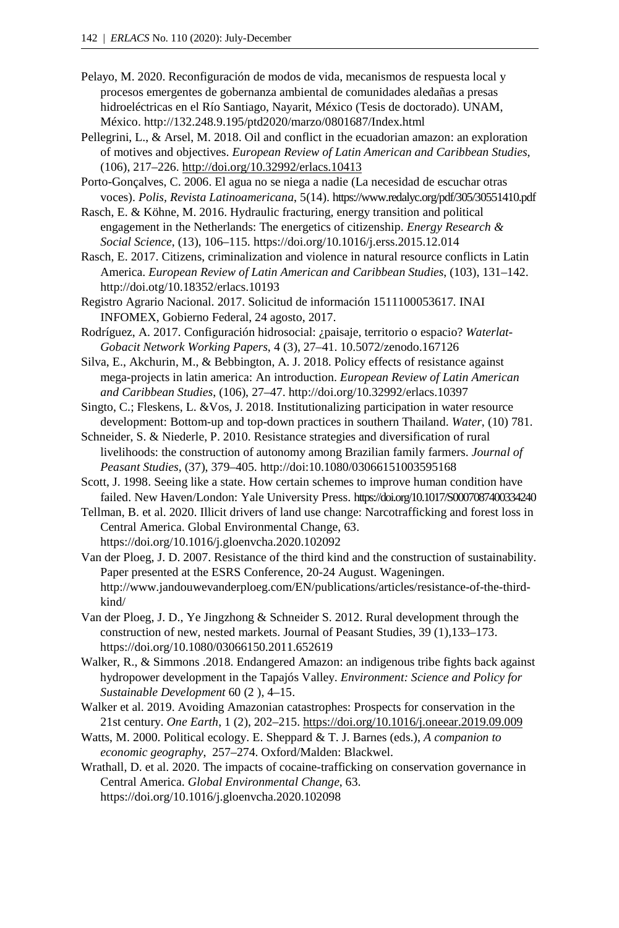- Pelayo, M. 2020. Reconfiguración de modos de vida, mecanismos de respuesta local y procesos emergentes de gobernanza ambiental de comunidades aledañas a presas hidroeléctricas en el Río Santiago, Nayarit, México (Tesis de doctorado). UNAM, México[. http://132.248.9.195/ptd2020/marzo/0801687/Index.html](http://132.248.9.195/ptd2020/marzo/0801687/Index.html)
- Pellegrini, L., & Arsel, M. 2018. Oil and conflict in the ecuadorian amazon: an exploration of motives and objectives. *European Review of Latin American and Caribbean Studies*, (106), 217–22[6.](http://doi.org/10.32992/erlacs.10413) <http://doi.org/10.32992/erlacs.10413>
- Porto-Gonçalves, C. 2006. El agua no se niega a nadie (La necesidad de escuchar otras voces). *Polis, Revista Latinoamericana*, 5(14). https://www.redalyc.org/pdf/305/30551410.pdf
- Rasch, E. & Köhne, M. 2016. Hydraulic fracturing, energy transition and political engagement in the Netherlands: The energetics of citizenship. *Energy Research & Social Science*, (13), 106–115. https://doi.org/10.1016/j.erss.2015.12.014
- Rasch, E. 2017. Citizens, criminalization and violence in natural resource conflicts in Latin America. *European Review of Latin American and Caribbean Studies*, (103), 131–142. http://doi.otg/10.18352/erlacs.10193
- Registro Agrario Nacional. 2017. Solicitud de información 1511100053617. INAI INFOMEX, Gobierno Federal, 24 agosto, 2017.
- Rodríguez, A. 2017. Configuración hidrosocial: ¿paisaje, territorio o espacio? *Waterlat-Gobacit Network Working Papers*, 4 (3), 27–41. 10.5072/zenodo.167126
- Silva, E., Akchurin, M., & Bebbington, A. J. 2018. Policy effects of resistance against mega-projects in latin america: An introduction. *European Review of Latin American and Caribbean Studies*, (106), 27–4[7.](http://doi.org/10.32992/erlacs.10397) <http://doi.org/10.32992/erlacs.10397>
- Singto, C.; Fleskens, L. &Vos, J. 2018. Institutionalizing participation in water resource development: Bottom-up and top-down practices in southern Thailand. *Water*, (10) 781.
- Schneider, S. & Niederle, P. 2010. Resistance strategies and diversification of rural livelihoods: the construction of autonomy among Brazilian family farmers. *Journal of Peasant Studies*, (37), 379–405. http://doi:10.1080/03066151003595168
- Scott, J. 1998. Seeing like a state. How certain schemes to improve human condition have failed. New Haven/London: Yale University Press. https://doi.org/10.1017/S0007087400334240
- Tellman, B. et al. 2020. Illicit drivers of land use change: Narcotrafficking and forest loss in Central America. Global Environmental Change, 63. https://doi.org/10.1016/j.gloenvcha.2020.102092
- Van der Ploeg, J. D. 2007. Resistance of the third kind and the construction of sustainability. Paper presented at the ESRS Conference, 20-24 August. Wageningen. http://www.jandouwevanderploeg.com/EN/publications/articles/resistance-of-the-thirdkind/
- Van der Ploeg, J. D., Ye Jingzhong & Schneider S. 2012. Rural development through the construction of new, nested markets. Journal of Peasant Studies, 39 (1),133–173. https://doi.org/10.1080/03066150.2011.652619
- Walker, R., & Simmons .2018. Endangered Amazon: an indigenous tribe fights back against hydropower development in the Tapajós Valley. *Environment: Science and Policy for Sustainable Development* 60 (2 ), 4–15.
- Walker et al. 2019. Avoiding Amazonian catastrophes: Prospects for conservation in the 21st century. *One Earth*, 1 (2), 202–215. <https://doi.org/10.1016/j.oneear.2019.09.009>
- Watts, M. 2000. Political ecology. E. Sheppard & T. J. Barnes (eds.), *A companion to economic geography*, 257–274. Oxford/Malden: Blackwel.
- Wrathall, D. et al. 2020. The impacts of cocaine-trafficking on conservation governance in Central America. *Global Environmental Change*, 6[3.](https://doi.org/10.1016/j.gloenvcha.2020.102098) <https://doi.org/10.1016/j.gloenvcha.2020.102098>